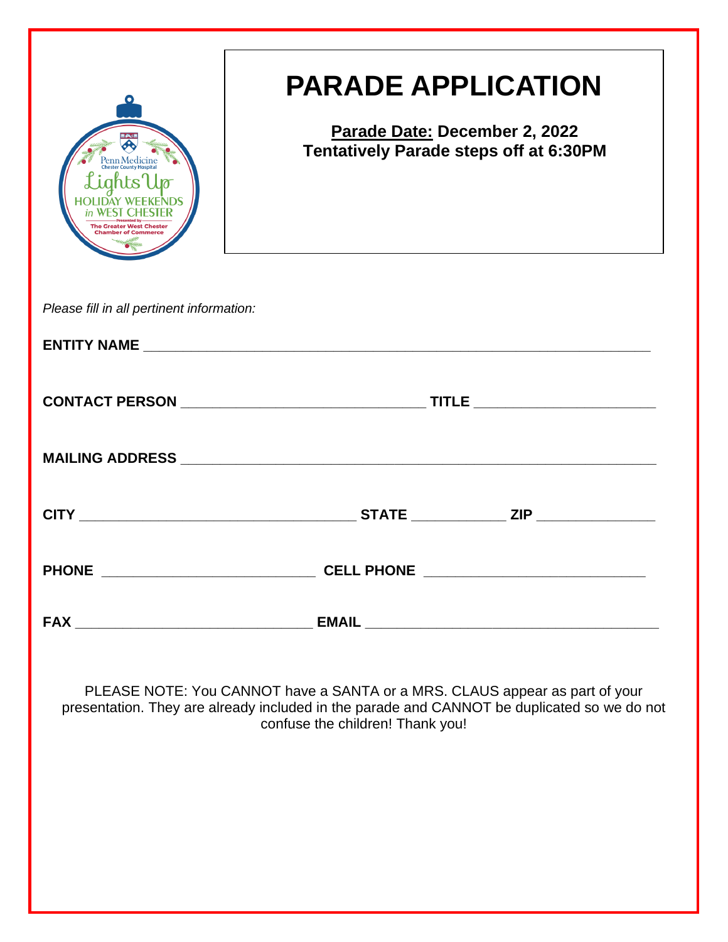|                                                            | <b>PARADE APPLICATION</b>                                                                                                                                                                                      |
|------------------------------------------------------------|----------------------------------------------------------------------------------------------------------------------------------------------------------------------------------------------------------------|
| Penn Medicine<br>ights'<br><b>The Greater West Chester</b> | Parade Date: December 2, 2022<br><b>Tentatively Parade steps off at 6:30PM</b>                                                                                                                                 |
| Please fill in all pertinent information:                  |                                                                                                                                                                                                                |
|                                                            |                                                                                                                                                                                                                |
|                                                            |                                                                                                                                                                                                                |
|                                                            |                                                                                                                                                                                                                |
|                                                            |                                                                                                                                                                                                                |
|                                                            |                                                                                                                                                                                                                |
|                                                            |                                                                                                                                                                                                                |
|                                                            | PLEASE NOTE: You CANNOT have a SANTA or a MRS. CLAUS appear as part of your<br>presentation. They are already included in the parade and CANNOT be duplicated so we do not<br>confuse the children! Thank you! |
|                                                            |                                                                                                                                                                                                                |
|                                                            |                                                                                                                                                                                                                |
|                                                            |                                                                                                                                                                                                                |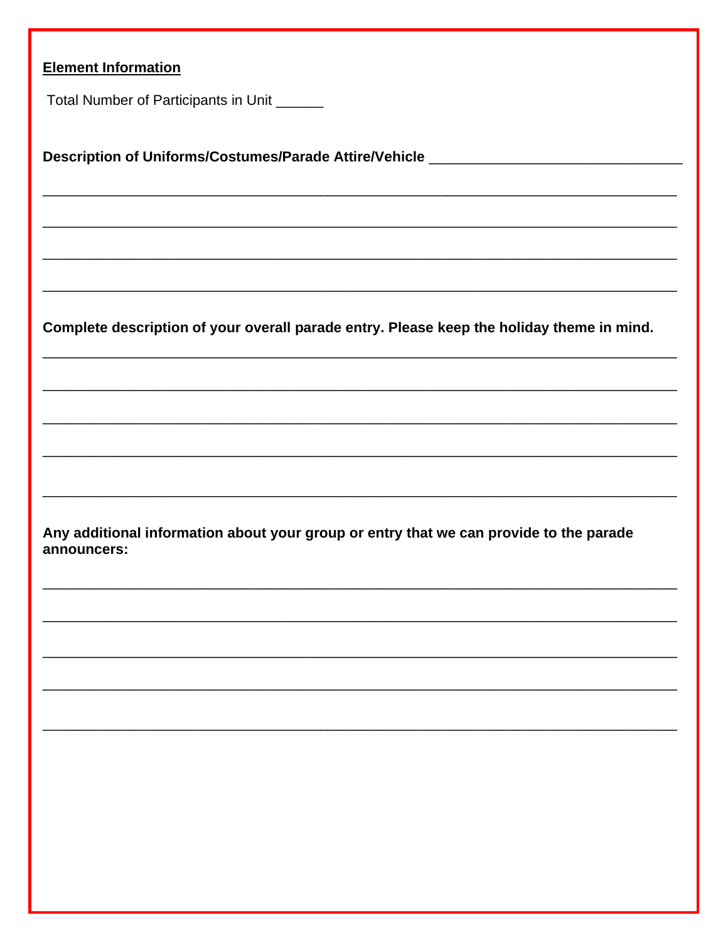| <b>Element Information</b>                                                                            |  |  |
|-------------------------------------------------------------------------------------------------------|--|--|
| Total Number of Participants in Unit _______                                                          |  |  |
|                                                                                                       |  |  |
| Description of Uniforms/Costumes/Parade Attire/Vehicle _________________________                      |  |  |
| <u> 1989 - Johann Stoff, amerikansk politiker (d. 1989)</u>                                           |  |  |
|                                                                                                       |  |  |
|                                                                                                       |  |  |
|                                                                                                       |  |  |
|                                                                                                       |  |  |
| Complete description of your overall parade entry. Please keep the holiday theme in mind.             |  |  |
|                                                                                                       |  |  |
|                                                                                                       |  |  |
|                                                                                                       |  |  |
|                                                                                                       |  |  |
|                                                                                                       |  |  |
|                                                                                                       |  |  |
| Any additional information about your group or entry that we can provide to the parade<br>announcers: |  |  |
|                                                                                                       |  |  |
|                                                                                                       |  |  |
|                                                                                                       |  |  |
|                                                                                                       |  |  |
|                                                                                                       |  |  |
|                                                                                                       |  |  |
|                                                                                                       |  |  |
|                                                                                                       |  |  |
|                                                                                                       |  |  |
|                                                                                                       |  |  |
|                                                                                                       |  |  |
|                                                                                                       |  |  |
|                                                                                                       |  |  |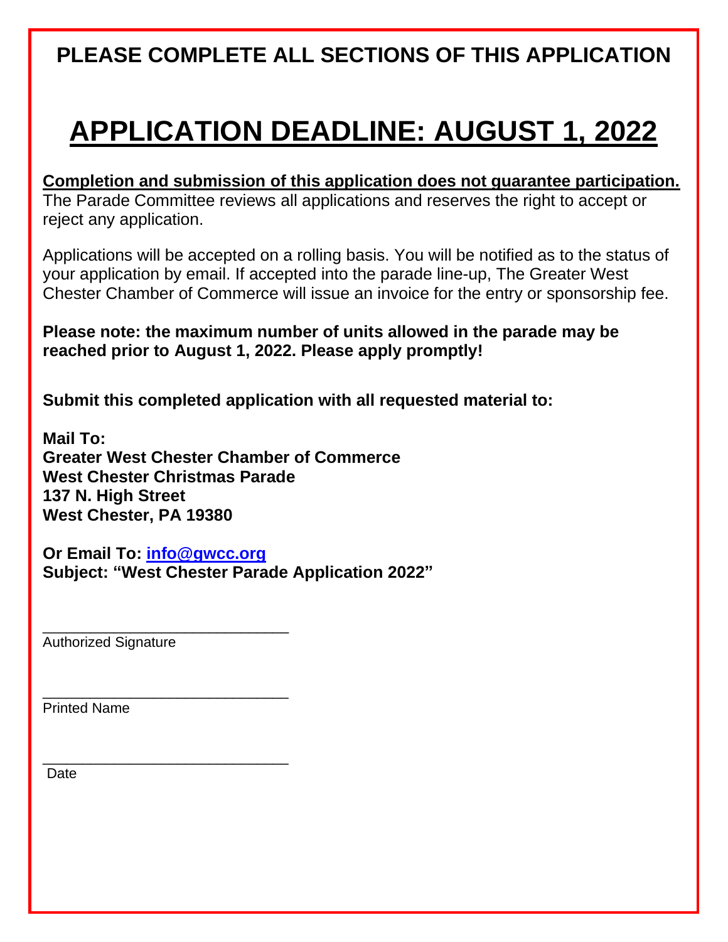# **PLEASE COMPLETE ALL SECTIONS OF THIS APPLICATION**

# **APPLICATION DEADLINE: AUGUST 1, 2022**

**Completion and submission of this application does not guarantee participation.**  The Parade Committee reviews all applications and reserves the right to accept or reject any application.

Applications will be accepted on a rolling basis. You will be notified as to the status of your application by email. If accepted into the parade line-up, The Greater West Chester Chamber of Commerce will issue an invoice for the entry or sponsorship fee.

**Please note: the maximum number of units allowed in the parade may be reached prior to August 1, 2022. Please apply promptly!**

**Submit this completed application with all requested material to:**

**Mail To: Greater West Chester Chamber of Commerce West Chester Christmas Parade 137 N. High Street West Chester, PA 19380**

**Or Email To: [info@gwcc.org](mailto:info@gwcc.org) Subject: "West Chester Parade Application 2022"**

Authorized Signature

\_\_\_\_\_\_\_\_\_\_\_\_\_\_\_\_\_\_\_\_\_\_\_\_\_\_\_\_\_\_\_

\_\_\_\_\_\_\_\_\_\_\_\_\_\_\_\_\_\_\_\_\_\_\_\_\_\_\_\_\_\_\_

\_\_\_\_\_\_\_\_\_\_\_\_\_\_\_\_\_\_\_\_\_\_\_\_\_\_\_\_\_\_\_

Printed Name

Date